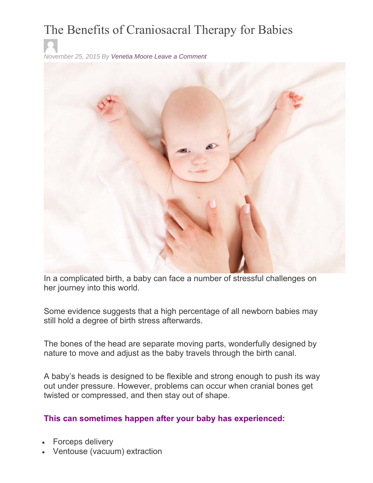## The Benefits of Craniosacral Therapy for Babies

*November 25, 2015 By Venetia Moore Leave a Comment*



In a complicated birth, a baby can face a number of stressful challenges on her journey into this world.

Some evidence suggests that a high percentage of all newborn babies may still hold a degree of birth stress afterwards.

The bones of the head are separate moving parts, wonderfully designed by nature to move and adjust as the baby travels through the birth canal.

A baby's heads is designed to be flexible and strong enough to push its way out under pressure. However, problems can occur when cranial bones get twisted or compressed, and then stay out of shape.

## **This can sometimes happen after your baby has experienced:**

- Forceps delivery
- Ventouse (vacuum) extraction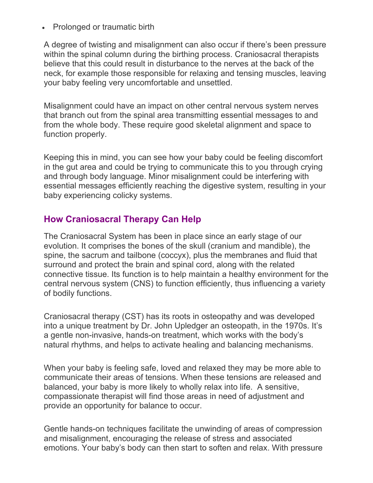• Prolonged or traumatic birth

A degree of twisting and misalignment can also occur if there's been pressure within the spinal column during the birthing process. Craniosacral therapists believe that this could result in disturbance to the nerves at the back of the neck, for example those responsible for relaxing and tensing muscles, leaving your baby feeling very uncomfortable and unsettled.

Misalignment could have an impact on other central nervous system nerves that branch out from the spinal area transmitting essential messages to and from the whole body. These require good skeletal alignment and space to function properly.

Keeping this in mind, you can see how your baby could be feeling discomfort in the gut area and could be trying to communicate this to you through crying and through body language. Minor misalignment could be interfering with essential messages efficiently reaching the digestive system, resulting in your baby experiencing colicky systems.

## **How Craniosacral Therapy Can Help**

The Craniosacral System has been in place since an early stage of our evolution. It comprises the bones of the skull (cranium and mandible), the spine, the sacrum and tailbone (coccyx), plus the membranes and fluid that surround and protect the brain and spinal cord, along with the related connective tissue. Its function is to help maintain a healthy environment for the central nervous system (CNS) to function efficiently, thus influencing a variety of bodily functions.

Craniosacral therapy (CST) has its roots in osteopathy and was developed into a unique treatment by Dr. John Upledger an osteopath, in the 1970s. It's a gentle non-invasive, hands-on treatment, which works with the body's natural rhythms, and helps to activate healing and balancing mechanisms.

When your baby is feeling safe, loved and relaxed they may be more able to communicate their areas of tensions. When these tensions are released and balanced, your baby is more likely to wholly relax into life. A sensitive, compassionate therapist will find those areas in need of adjustment and provide an opportunity for balance to occur.

Gentle hands-on techniques facilitate the unwinding of areas of compression and misalignment, encouraging the release of stress and associated emotions. Your baby's body can then start to soften and relax. With pressure